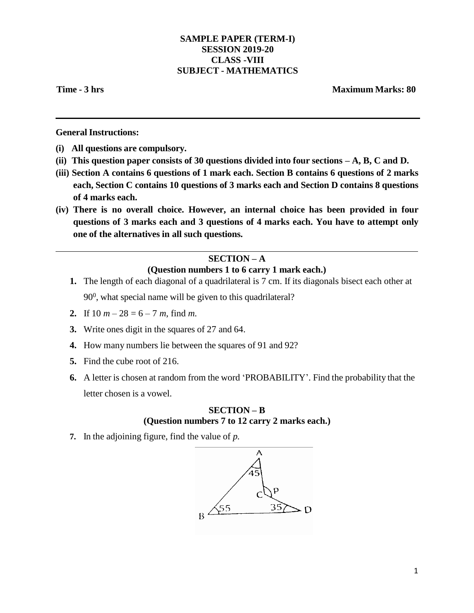## **SAMPLE PAPER (TERM-I) SESSION 2019-20 CLASS -VIII SUBJECT - MATHEMATICS**

**Time - 3 hrs Maximum Marks: 80**

**GeneralInstructions:**

- **(i) All questions are compulsory.**
- **(ii) This question paper consists of 30 questions divided into four sections – A, B, C and D.**
- **(iii) Section A contains 6 questions of 1 mark each. Section B contains 6 questions of 2 marks each, Section C contains 10 questions of 3 marks each and Section D contains 8 questions of 4 marks each.**
- **(iv) There is no overall choice. However, an internal choice has been provided in four questions of 3 marks each and 3 questions of 4 marks each. You have to attempt only one of the alternatives in all such questions.**

# **SECTION – A**

## **(Question numbers 1 to 6 carry 1 mark each.)**

- **1.** The length of each diagonal of a quadrilateral is 7 cm. If its diagonals bisect each other at  $90<sup>0</sup>$ , what special name will be given to this quadrilateral?
- **2.** If  $10 \, m 28 = 6 7 \, m$ , find *m*.
- **3.** Write ones digit in the squares of 27 and 64.
- **4.** How many numbers lie between the squares of 91 and 92?
- **5.** Find the cube root of 216.
- **6.** A letter is chosen at random from the word 'PROBABILITY'. Find the probability that the letter chosen is a vowel.

### **SECTION – B (Question numbers 7 to 12 carry 2 marks each.)**

**7.** In the adjoining figure, find the value of *p.*

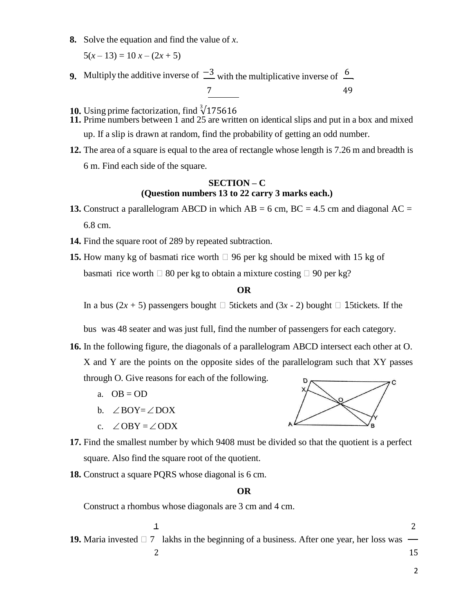**8.** Solve the equation and find the value of *x*.

 $5(x-13) = 10x - (2x + 5)$ 

- **9.** Multiply the additive inverse of  $\frac{-3}{2}$  with the multiplicative inverse of  $\frac{6}{2}$ 7 49
- **10.** Using prime factorization, find  $\sqrt[3]{175616}$
- **11.** Prime numbers between 1 and 25 are written on identical slips and put in a box and mixed up. If a slip is drawn at random, find the probability of getting an odd number.
- **12.** The area of a square is equal to the area of rectangle whose length is 7.26 m and breadth is 6 m. Find each side of the square.

## **SECTION – C (Question numbers 13 to 22 carry 3 marks each.)**

- **13.** Construct a parallelogram ABCD in which  $AB = 6$  cm,  $BC = 4.5$  cm and diagonal  $AC =$ 6.8 cm.
- **14.** Find the square root of 289 by repeated subtraction.

**15.** How many kg of basmati rice worth  $\Box$  96 per kg should be mixed with 15 kg of basmati rice worth  $\Box$  80 per kg to obtain a mixture costing  $\Box$  90 per kg?

#### **OR**

In a bus  $(2x + 5)$  passengers bought  $\Box$  5tickets and  $(3x - 2)$  bought  $\Box$  15tickets. If the

bus was 48 seater and was just full, find the number of passengers for each category.

- **16.** In the following figure, the diagonals of a parallelogram ABCD intersect each other at O. X and Y are the points on the opposite sides of the parallelogram such that XY passes through O. Give reasons for each of the following. D
	- a.  $OB = OD$
	- b.  $\angle$ BOY= $\angle$ DOX
	- c.  $\angle$  OBY =  $\angle$  ODX
- **17.** Find the smallest number by which 9408 must be divided so that the quotient is a perfect square. Also find the square root of the quotient.

**18.** Construct a square PQRS whose diagonal is 6 cm.

#### **OR**

Construct a rhombus whose diagonals are 3 cm and 4 cm.

1 **19.** Maria invested  $\Box$  7 lakhs in the beginning of a business. After one year, her loss was 2 2 15

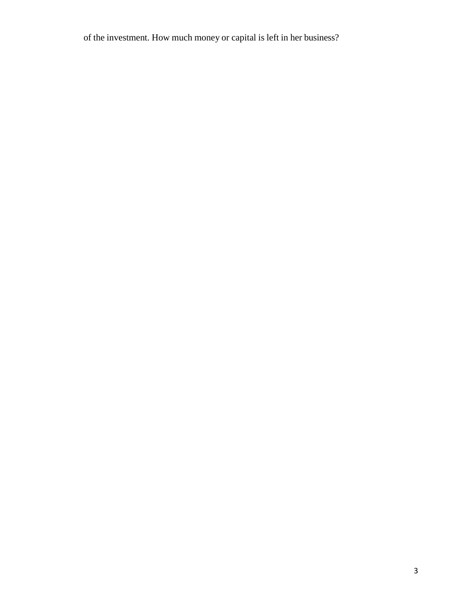of the investment. How much money or capital is left in her business?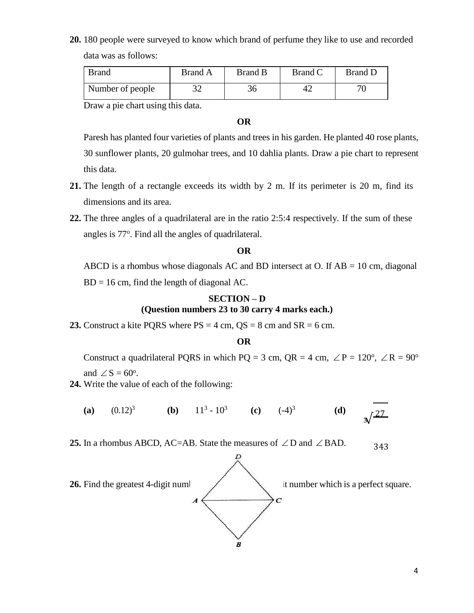**20.** 180 people were surveyed to know which brand of perfume they like to use and recorded data was as follows:

| <b>Brand</b>     | <b>Brand A</b> | <b>Brand B</b> | <b>Brand C</b> | <b>Brand D</b> |
|------------------|----------------|----------------|----------------|----------------|
| Number of people | າາ<br>ے ر      | 36             |                | 70             |

Draw a pie chart using this data.

### **OR**

Paresh has planted four varieties of plants and trees in his garden. He planted 40 rose plants, 30 sunflower plants, 20 gulmohar trees, and 10 dahlia plants. Draw a pie chart to represent this data.

- **21.** The length of a rectangle exceeds its width by 2 m. If its perimeter is 20 m, find its dimensions and its area.
- **22.** The three angles of a quadrilateral are in the ratio 2:5:4 respectively. If the sum of these angles is 77°. Find all the angles of quadrilateral.

#### **OR**

ABCD is a rhombus whose diagonals AC and BD intersect at O. If  $AB = 10$  cm, diagonal  $BD = 16$  cm, find the length of diagonal AC.

#### **SECTION – D (Question numbers 23 to 30 carry 4 marks each.)**

**23.** Construct a kite PQRS where  $PS = 4$  cm,  $QS = 8$  cm and  $SR = 6$  cm.

#### **OR**

Construct a quadrilateral PQRS in which PQ = 3 cm, QR = 4 cm,  $\angle P = 120^{\circ}$ ,  $\angle R = 90^{\circ}$ and  $\angle S = 60^\circ$ .

**24.** Write the value of each of the following:



**25.** In a rhombus ABCD, AC=AB. State the measures of  $\angle$ D and  $\angle$ BAD. 343